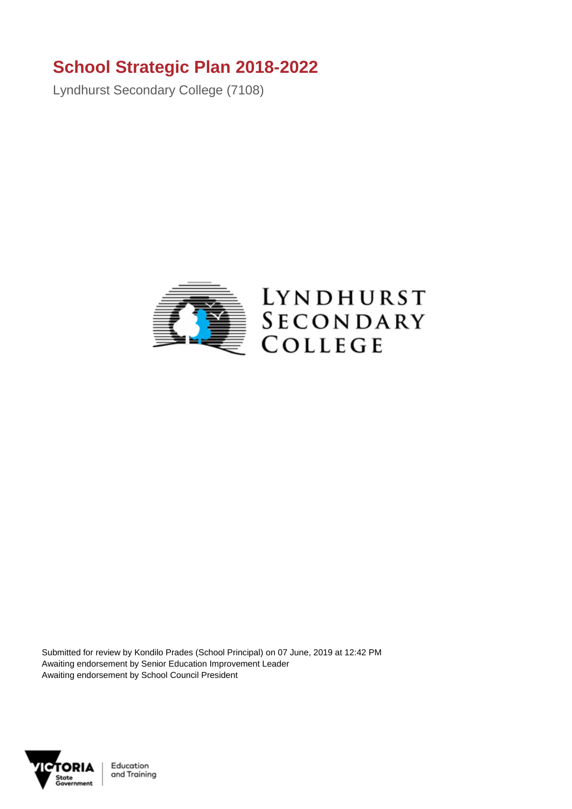## **School Strategic Plan 2018-2022**

Lyndhurst Secondary College (7108)



Submitted for review by Kondilo Prades (School Principal) on 07 June, 2019 at 12:42 PM Awaiting endorsement by Senior Education Improvement Leader Awaiting endorsement by School Council President



Education and Training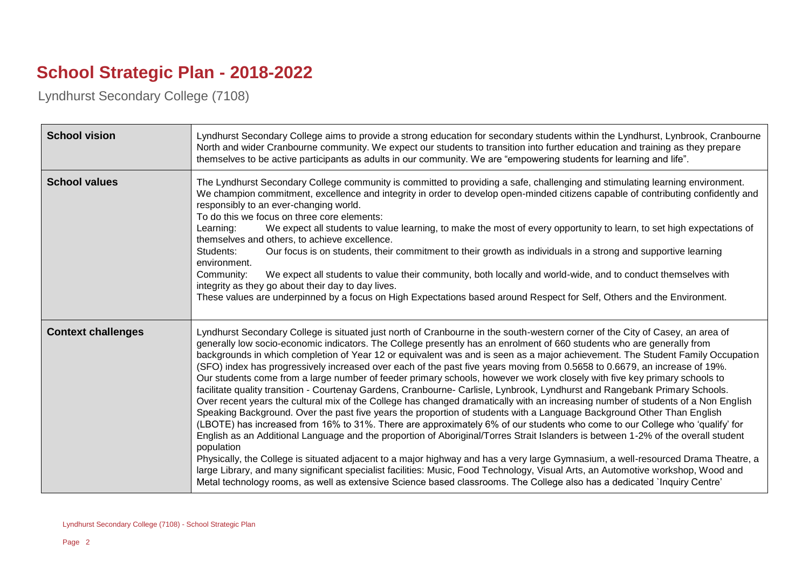## **School Strategic Plan - 2018-2022**

Lyndhurst Secondary College (7108)

| <b>School vision</b>      | Lyndhurst Secondary College aims to provide a strong education for secondary students within the Lyndhurst, Lynbrook, Cranbourne<br>North and wider Cranbourne community. We expect our students to transition into further education and training as they prepare<br>themselves to be active participants as adults in our community. We are "empowering students for learning and life".                                                                                                                                                                                                                                                                                                                                                                                                                                                                                                                                                                                                                                                                                                                                                                                                                                                                                                                                                                                                                                                                                                                                                                                                                                                                                                                                                |
|---------------------------|-------------------------------------------------------------------------------------------------------------------------------------------------------------------------------------------------------------------------------------------------------------------------------------------------------------------------------------------------------------------------------------------------------------------------------------------------------------------------------------------------------------------------------------------------------------------------------------------------------------------------------------------------------------------------------------------------------------------------------------------------------------------------------------------------------------------------------------------------------------------------------------------------------------------------------------------------------------------------------------------------------------------------------------------------------------------------------------------------------------------------------------------------------------------------------------------------------------------------------------------------------------------------------------------------------------------------------------------------------------------------------------------------------------------------------------------------------------------------------------------------------------------------------------------------------------------------------------------------------------------------------------------------------------------------------------------------------------------------------------------|
| <b>School values</b>      | The Lyndhurst Secondary College community is committed to providing a safe, challenging and stimulating learning environment.<br>We champion commitment, excellence and integrity in order to develop open-minded citizens capable of contributing confidently and<br>responsibly to an ever-changing world.<br>To do this we focus on three core elements:<br>We expect all students to value learning, to make the most of every opportunity to learn, to set high expectations of<br>Learning:<br>themselves and others, to achieve excellence.<br>Our focus is on students, their commitment to their growth as individuals in a strong and supportive learning<br>Students:<br>environment.<br>We expect all students to value their community, both locally and world-wide, and to conduct themselves with<br>Community:<br>integrity as they go about their day to day lives.<br>These values are underpinned by a focus on High Expectations based around Respect for Self, Others and the Environment.                                                                                                                                                                                                                                                                                                                                                                                                                                                                                                                                                                                                                                                                                                                           |
| <b>Context challenges</b> | Lyndhurst Secondary College is situated just north of Cranbourne in the south-western corner of the City of Casey, an area of<br>generally low socio-economic indicators. The College presently has an enrolment of 660 students who are generally from<br>backgrounds in which completion of Year 12 or equivalent was and is seen as a major achievement. The Student Family Occupation<br>(SFO) index has progressively increased over each of the past five years moving from 0.5658 to 0.6679, an increase of 19%.<br>Our students come from a large number of feeder primary schools, however we work closely with five key primary schools to<br>facilitate quality transition - Courtenay Gardens, Cranbourne- Carlisle, Lynbrook, Lyndhurst and Rangebank Primary Schools.<br>Over recent years the cultural mix of the College has changed dramatically with an increasing number of students of a Non English<br>Speaking Background. Over the past five years the proportion of students with a Language Background Other Than English<br>(LBOTE) has increased from 16% to 31%. There are approximately 6% of our students who come to our College who 'qualify' for<br>English as an Additional Language and the proportion of Aboriginal/Torres Strait Islanders is between 1-2% of the overall student<br>population<br>Physically, the College is situated adjacent to a major highway and has a very large Gymnasium, a well-resourced Drama Theatre, a<br>large Library, and many significant specialist facilities: Music, Food Technology, Visual Arts, an Automotive workshop, Wood and<br>Metal technology rooms, as well as extensive Science based classrooms. The College also has a dedicated `Inquiry Centre' |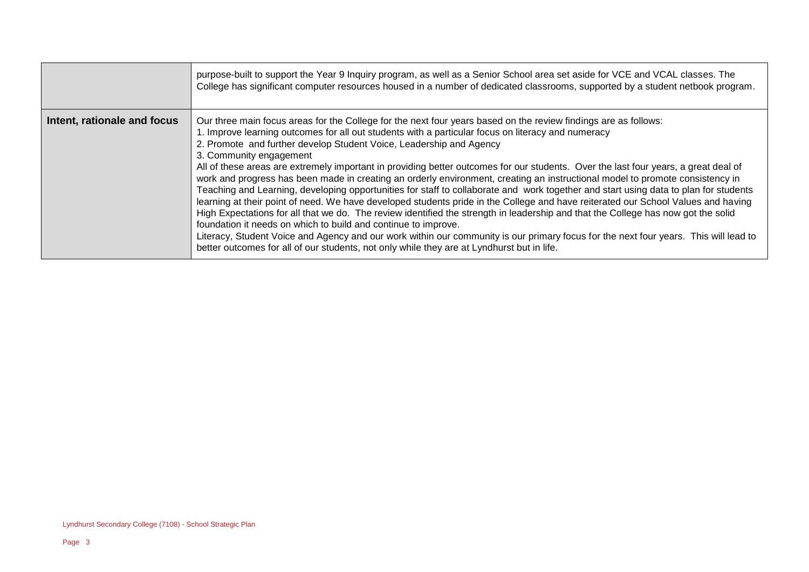|                             | purpose-built to support the Year 9 Inquiry program, as well as a Senior School area set aside for VCE and VCAL classes. The<br>College has significant computer resources housed in a number of dedicated classrooms, supported by a student netbook program.                                                                                                                                                                                                                                                                                                                                                                                                                                                                                                                                                                                                                                                                                                                                                                                                                                                                                                                                                                                                                                                            |
|-----------------------------|---------------------------------------------------------------------------------------------------------------------------------------------------------------------------------------------------------------------------------------------------------------------------------------------------------------------------------------------------------------------------------------------------------------------------------------------------------------------------------------------------------------------------------------------------------------------------------------------------------------------------------------------------------------------------------------------------------------------------------------------------------------------------------------------------------------------------------------------------------------------------------------------------------------------------------------------------------------------------------------------------------------------------------------------------------------------------------------------------------------------------------------------------------------------------------------------------------------------------------------------------------------------------------------------------------------------------|
| Intent, rationale and focus | Our three main focus areas for the College for the next four years based on the review findings are as follows:<br>1. Improve learning outcomes for all out students with a particular focus on literacy and numeracy<br>2. Promote and further develop Student Voice, Leadership and Agency<br>3. Community engagement<br>All of these areas are extremely important in providing better outcomes for our students. Over the last four years, a great deal of<br>work and progress has been made in creating an orderly environment, creating an instructional model to promote consistency in<br>Teaching and Learning, developing opportunities for staff to collaborate and work together and start using data to plan for students<br>learning at their point of need. We have developed students pride in the College and have reiterated our School Values and having<br>High Expectations for all that we do. The review identified the strength in leadership and that the College has now got the solid<br>foundation it needs on which to build and continue to improve.<br>Literacy, Student Voice and Agency and our work within our community is our primary focus for the next four years. This will lead to<br>better outcomes for all of our students, not only while they are at Lyndhurst but in life. |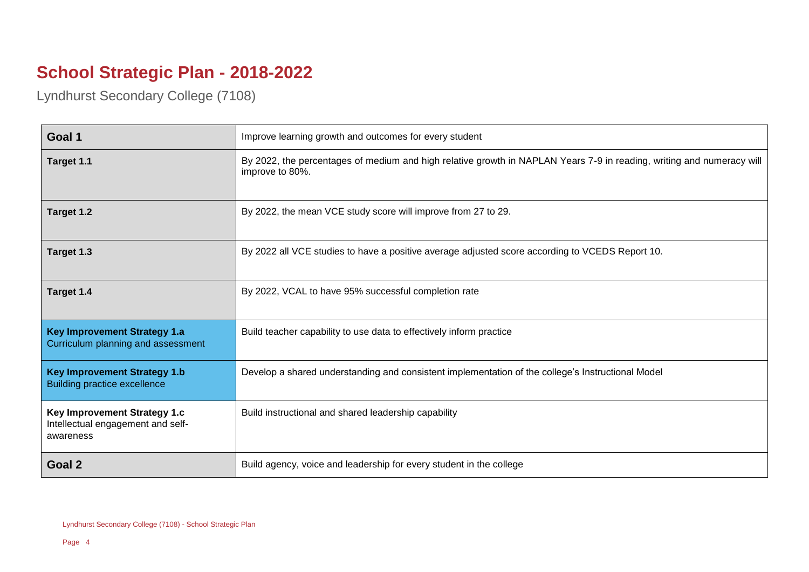## **School Strategic Plan - 2018-2022**

Lyndhurst Secondary College (7108)

| Goal 1                                                                         | Improve learning growth and outcomes for every student                                                                                   |
|--------------------------------------------------------------------------------|------------------------------------------------------------------------------------------------------------------------------------------|
| Target 1.1                                                                     | By 2022, the percentages of medium and high relative growth in NAPLAN Years 7-9 in reading, writing and numeracy will<br>improve to 80%. |
| Target 1.2                                                                     | By 2022, the mean VCE study score will improve from 27 to 29.                                                                            |
| Target 1.3                                                                     | By 2022 all VCE studies to have a positive average adjusted score according to VCEDS Report 10.                                          |
| Target 1.4                                                                     | By 2022, VCAL to have 95% successful completion rate                                                                                     |
| <b>Key Improvement Strategy 1.a</b><br>Curriculum planning and assessment      | Build teacher capability to use data to effectively inform practice                                                                      |
| <b>Key Improvement Strategy 1.b</b><br><b>Building practice excellence</b>     | Develop a shared understanding and consistent implementation of the college's Instructional Model                                        |
| Key Improvement Strategy 1.c<br>Intellectual engagement and self-<br>awareness | Build instructional and shared leadership capability                                                                                     |
| Goal 2                                                                         | Build agency, voice and leadership for every student in the college                                                                      |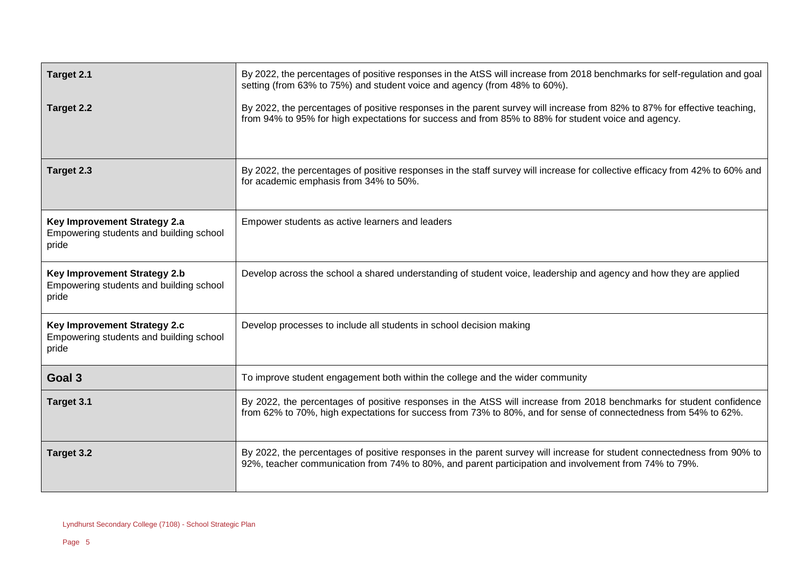| Target 2.1                                                                              | By 2022, the percentages of positive responses in the AtSS will increase from 2018 benchmarks for self-regulation and goal<br>setting (from 63% to 75%) and student voice and agency (from 48% to 60%).                                 |
|-----------------------------------------------------------------------------------------|-----------------------------------------------------------------------------------------------------------------------------------------------------------------------------------------------------------------------------------------|
| Target 2.2                                                                              | By 2022, the percentages of positive responses in the parent survey will increase from 82% to 87% for effective teaching,<br>from 94% to 95% for high expectations for success and from 85% to 88% for student voice and agency.        |
| Target 2.3                                                                              | By 2022, the percentages of positive responses in the staff survey will increase for collective efficacy from 42% to 60% and<br>for academic emphasis from 34% to 50%.                                                                  |
| Key Improvement Strategy 2.a<br>Empowering students and building school<br>pride        | Empower students as active learners and leaders                                                                                                                                                                                         |
| <b>Key Improvement Strategy 2.b</b><br>Empowering students and building school<br>pride | Develop across the school a shared understanding of student voice, leadership and agency and how they are applied                                                                                                                       |
| Key Improvement Strategy 2.c<br>Empowering students and building school<br>pride        | Develop processes to include all students in school decision making                                                                                                                                                                     |
| Goal 3                                                                                  | To improve student engagement both within the college and the wider community                                                                                                                                                           |
| Target 3.1                                                                              | By 2022, the percentages of positive responses in the AtSS will increase from 2018 benchmarks for student confidence<br>from 62% to 70%, high expectations for success from 73% to 80%, and for sense of connectedness from 54% to 62%. |
| Target 3.2                                                                              | By 2022, the percentages of positive responses in the parent survey will increase for student connectedness from 90% to<br>92%, teacher communication from 74% to 80%, and parent participation and involvement from 74% to 79%.        |